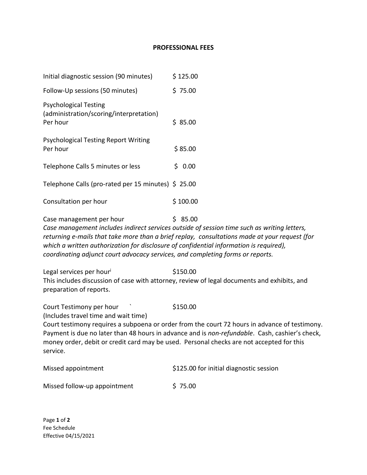## **PROFESSIONAL FEES**

| Initial diagnostic session (90 minutes)                                                                                                                                                              | \$125.00                                                                                                                                                                                                    |
|------------------------------------------------------------------------------------------------------------------------------------------------------------------------------------------------------|-------------------------------------------------------------------------------------------------------------------------------------------------------------------------------------------------------------|
| Follow-Up sessions (50 minutes)                                                                                                                                                                      | \$75.00                                                                                                                                                                                                     |
| <b>Psychological Testing</b><br>(administration/scoring/interpretation)<br>Per hour                                                                                                                  | \$85.00                                                                                                                                                                                                     |
| <b>Psychological Testing Report Writing</b><br>Per hour                                                                                                                                              | \$85.00                                                                                                                                                                                                     |
| Telephone Calls 5 minutes or less                                                                                                                                                                    | \$0.00                                                                                                                                                                                                      |
| Telephone Calls (pro-rated per 15 minutes) \$ 25.00                                                                                                                                                  |                                                                                                                                                                                                             |
| Consultation per hour                                                                                                                                                                                | \$100.00                                                                                                                                                                                                    |
| Case management per hour<br>which a written authorization for disclosure of confidential information is required),<br>coordinating adjunct court advocacy services, and completing forms or reports. | \$85.00<br>Case management includes indirect services outside of session time such as writing letters,<br>returning e-mails that take more than a brief replay, consultations made at your request (for     |
| Legal services per hour<br>preparation of reports.                                                                                                                                                   | \$150.00<br>This includes discussion of case with attorney, review of legal documents and exhibits, and                                                                                                     |
| Court Testimony per hour<br>(Includes travel time and wait time)<br>money order, debit or credit card may be used. Personal checks are not accepted for this                                         | \$150.00<br>Court testimony requires a subpoena or order from the court 72 hours in advance of testimony.<br>Payment is due no later than 48 hours in advance and is non-refundable. Cash, cashier's check, |

| Missed appointment           | \$125.00 for initial diagnostic session |
|------------------------------|-----------------------------------------|
| Missed follow-up appointment | \$75.00                                 |

Page **1** of **2** Fee Schedule Effective 04/15/2021